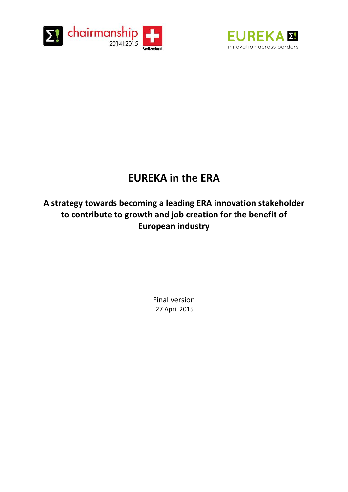



# **EUREKA in the ERA**

**A strategy towards becoming a leading ERA innovation stakeholder to contribute to growth and job creation for the benefit of European industry** 

> Final version 27 April 2015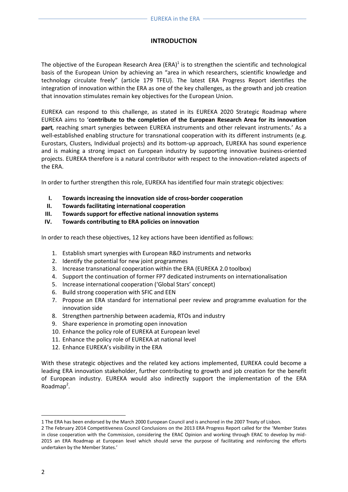## **INTRODUCTION**

The objective of the European Research Area (ERA)<sup>1</sup> is to strengthen the scientific and technological basis of the European Union by achieving an "area in which researchers, scientific knowledge and technology circulate freely" (article 179 TFEU). The latest ERA Progress Report identifies the integration of innovation within the ERA as one of the key challenges, as the growth and job creation that innovation stimulates remain key objectives for the European Union.

EUREKA can respond to this challenge, as stated in its EUREKA 2020 Strategic Roadmap where EUREKA aims to '**contribute to the completion of the European Research Area for its innovation part***,* reaching smart synergies between EUREKA instruments and other relevant instruments.' As a well-established enabling structure for transnational cooperation with its different instruments (e.g. Eurostars, Clusters, Individual projects) and its bottom-up approach, EUREKA has sound experience and is making a strong impact on European industry by supporting innovative business-oriented projects. EUREKA therefore is a natural contributor with respect to the innovation-related aspects of the ERA.

In order to further strengthen this role, EUREKA has identified four main strategic objectives:

- **I. Towards increasing the innovation side of cross-border cooperation**
- **II. Towards facilitating international cooperation**
- **III. Towards support for effective national innovation systems**
- **IV. Towards contributing to ERA policies on innovation**

In order to reach these objectives, 12 key actions have been identified as follows:

- 1. Establish smart synergies with European R&D instruments and networks
- 2. Identify the potential for new joint programmes
- 3. Increase transnational cooperation within the ERA (EUREKA 2.0 toolbox)
- 4. Support the continuation of former FP7 dedicated instruments on internationalisation
- 5. Increase international cooperation ('Global Stars' concept)
- 6. Build strong cooperation with SFIC and EEN
- 7. Propose an ERA standard for international peer review and programme evaluation for the innovation side
- 8. Strengthen partnership between academia, RTOs and industry
- 9. Share experience in promoting open innovation
- 10. Enhance the policy role of EUREKA at European level
- 11. Enhance the policy role of EUREKA at national level
- 12. Enhance EUREKA's visibility in the ERA

With these strategic objectives and the related key actions implemented, EUREKA could become a leading ERA innovation stakeholder, further contributing to growth and job creation for the benefit of European industry. EUREKA would also indirectly support the implementation of the ERA Roadmap<sup>2</sup>.

**.** 

<sup>1</sup> The ERA has been endorsed by the March 2000 European Council and is anchored in the 2007 Treaty of Lisbon.

<sup>2</sup> The February 2014 Competitiveness Council Conclusions on the 2013 ERA Progress Report called for the 'Member States in close cooperation with the Commission, considering the ERAC Opinion and working through ERAC to develop by mid-2015 an ERA Roadmap at European level which should serve the purpose of facilitating and reinforcing the efforts undertaken by the Member States.'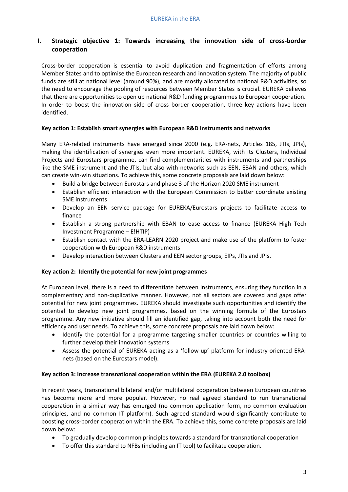## **I. Strategic objective 1: Towards increasing the innovation side of cross-border cooperation**

Cross-border cooperation is essential to avoid duplication and fragmentation of efforts among Member States and to optimise the European research and innovation system. The majority of public funds are still at national level (around 90%), and are mostly allocated to national R&D activities, so the need to encourage the pooling of resources between Member States is crucial. EUREKA believes that there are opportunities to open up national R&D funding programmes to European cooperation. In order to boost the innovation side of cross border cooperation, three key actions have been identified.

#### **Key action 1: Establish smart synergies with European R&D instruments and networks**

Many ERA-related instruments have emerged since 2000 (e.g. ERA-nets, Articles 185, JTIs, JPIs), making the identification of synergies even more important. EUREKA, with its Clusters, Individual Projects and Eurostars programme, can find complementarities with instruments and partnerships like the SME instrument and the JTIs, but also with networks such as EEN, EBAN and others, which can create win-win situations. To achieve this, some concrete proposals are laid down below:

- Build a bridge between Eurostars and phase 3 of the Horizon 2020 SME instrument
- Establish efficient interaction with the European Commission to better coordinate existing SME instruments
- Develop an EEN service package for EUREKA/Eurostars projects to facilitate access to finance
- Establish a strong partnership with EBAN to ease access to finance (EUREKA High Tech Investment Programme – E!HTIP)
- Establish contact with the ERA-LEARN 2020 project and make use of the platform to foster cooperation with European R&D instruments
- Develop interaction between Clusters and EEN sector groups, EIPs, JTIs and JPIs.

## **Key action 2: Identify the potential for new joint programmes**

At European level, there is a need to differentiate between instruments, ensuring they function in a complementary and non-duplicative manner. However, not all sectors are covered and gaps offer potential for new joint programmes. EUREKA should investigate such opportunities and identify the potential to develop new joint programmes, based on the winning formula of the Eurostars programme. Any new initiative should fill an identified gap, taking into account both the need for efficiency and user needs. To achieve this, some concrete proposals are laid down below:

- Identify the potential for a programme targeting smaller countries or countries willing to further develop their innovation systems
- Assess the potential of EUREKA acting as a 'follow-up' platform for industry-oriented ERAnets (based on the Eurostars model).

## **Key action 3: Increase transnational cooperation within the ERA (EUREKA 2.0 toolbox)**

In recent years, transnational bilateral and/or multilateral cooperation between European countries has become more and more popular. However, no real agreed standard to run transnational cooperation in a similar way has emerged (no common application form, no common evaluation principles, and no common IT platform). Such agreed standard would significantly contribute to boosting cross-border cooperation within the ERA. To achieve this, some concrete proposals are laid down below:

- To gradually develop common principles towards a standard for transnational cooperation
- To offer this standard to NFBs (including an IT tool) to facilitate cooperation.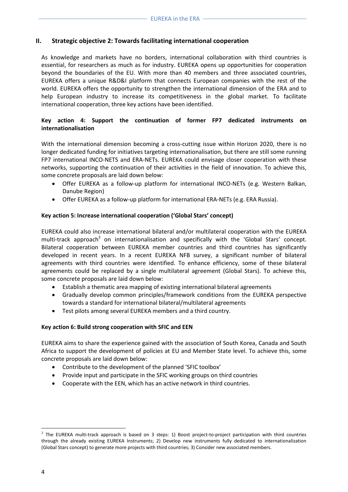## **II. Strategic objective 2: Towards facilitating international cooperation**

As knowledge and markets have no borders, international collaboration with third countries is essential, for researchers as much as for industry. EUREKA opens up opportunities for cooperation beyond the boundaries of the EU. With more than 40 members and three associated countries, EUREKA offers a unique R&D&I platform that connects European companies with the rest of the world. EUREKA offers the opportunity to strengthen the international dimension of the ERA and to help European industry to increase its competitiveness in the global market. To facilitate international cooperation, three key actions have been identified.

## **Key action 4: Support the continuation of former FP7 dedicated instruments on internationalisation**

With the international dimension becoming a cross-cutting issue within Horizon 2020, there is no longer dedicated funding for initiatives targeting internationalisation, but there are still some running FP7 international INCO-NETS and ERA-NETs. EUREKA could envisage closer cooperation with these networks, supporting the continuation of their activities in the field of innovation. To achieve this, some concrete proposals are laid down below:

- Offer EUREKA as a follow-up platform for international INCO-NETs (e.g. Western Balkan, Danube Region)
- Offer EUREKA as a follow-up platform for international ERA-NETs (e.g. ERA Russia).

#### **Key action 5: Increase international cooperation ('Global Stars' concept)**

EUREKA could also increase international bilateral and/or multilateral cooperation with the EUREKA multi-track approach<sup>3</sup> on internationalisation and specifically with the 'Global Stars' concept. Bilateral cooperation between EUREKA member countries and third countries has significantly developed in recent years. In a recent EUREKA NFB survey, a significant number of bilateral agreements with third countries were identified. To enhance efficiency, some of these bilateral agreements could be replaced by a single multilateral agreement (Global Stars). To achieve this, some concrete proposals are laid down below:

- Establish a thematic area mapping of existing international bilateral agreements
- Gradually develop common principles/framework conditions from the EUREKA perspective towards a standard for international bilateral/multilateral agreements
- Test pilots among several EUREKA members and a third country.

## **Key action 6: Build strong cooperation with SFIC and EEN**

EUREKA aims to share the experience gained with the association of South Korea, Canada and South Africa to support the development of policies at EU and Member State level. To achieve this, some concrete proposals are laid down below:

- Contribute to the development of the planned 'SFIC toolbox'
- Provide input and participate in the SFIC working groups on third countries
- Cooperate with the EEN, which has an active network in third countries.

 $\overline{a}$ 

 $3$  The EUREKA multi-track approach is based on 3 steps: 1) Boost project-to-project participation with third countries through the already existing EUREKA Instruments; 2) Develop new instruments fully dedicated to internationalization (Global Stars concept) to generate more projects with third countries; 3) Consider new associated members.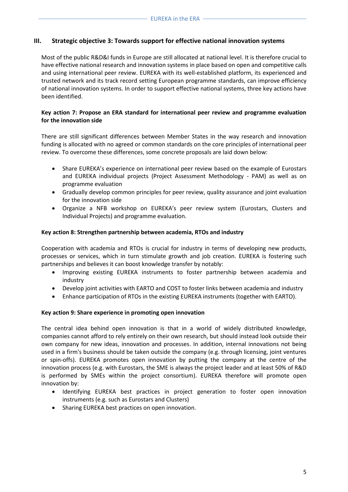## **III. Strategic objective 3: Towards support for effective national innovation systems**

Most of the public R&D&I funds in Europe are still allocated at national level. It is therefore crucial to have effective national research and innovation systems in place based on open and competitive calls and using international peer review. EUREKA with its well-established platform, its experienced and trusted network and its track record setting European programme standards, can improve efficiency of national innovation systems. In order to support effective national systems, three key actions have been identified.

#### **Key action 7: Propose an ERA standard for international peer review and programme evaluation for the innovation side**

There are still significant differences between Member States in the way research and innovation funding is allocated with no agreed or common standards on the core principles of international peer review. To overcome these differences, some concrete proposals are laid down below:

- Share EUREKA's experience on international peer review based on the example of Eurostars and EUREKA individual projects (Project Assessment Methodology - PAM) as well as on programme evaluation
- Gradually develop common principles for peer review, quality assurance and joint evaluation for the innovation side
- Organize a NFB workshop on EUREKA's peer review system (Eurostars, Clusters and Individual Projects) and programme evaluation.

#### **Key action 8: Strengthen partnership between academia, RTOs and industry**

Cooperation with academia and RTOs is crucial for industry in terms of developing new products, processes or services, which in turn stimulate growth and job creation. EUREKA is fostering such partnerships and believes it can boost knowledge transfer by notably:

- Improving existing EUREKA instruments to foster partnership between academia and industry
- Develop joint activities with EARTO and COST to foster links between academia and industry
- Enhance participation of RTOs in the existing EUREKA instruments (together with EARTO).

## **Key action 9: Share experience in promoting open innovation**

The central idea behind open innovation is that in a world of widely distributed knowledge, companies cannot afford to rely entirely on their own research, but should instead look outside their own company for new ideas, innovation and processes. In addition, internal innovations not being used in a firm's business should be taken outside the company (e.g. through licensing, joint ventures or spin-offs). EUREKA promotes open innovation by putting the company at the centre of the innovation process (e.g. with Eurostars, the SME is always the project leader and at least 50% of R&D is performed by SMEs within the project consortium). EUREKA therefore will promote open innovation by:

- Identifying EUREKA best practices in project generation to foster open innovation instruments (e.g. such as Eurostars and Clusters)
- Sharing EUREKA best practices on open innovation.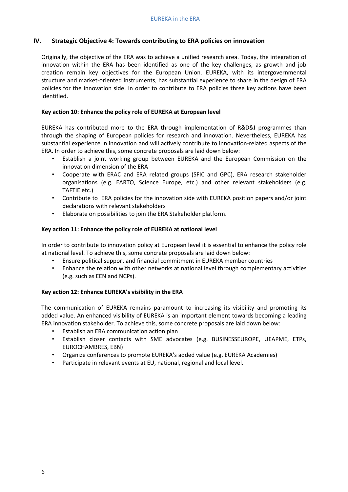## **IV. Strategic Objective 4: Towards contributing to ERA policies on innovation**

Originally, the objective of the ERA was to achieve a unified research area. Today, the integration of innovation within the ERA has been identified as one of the key challenges, as growth and job creation remain key objectives for the European Union. EUREKA, with its intergovernmental structure and market-oriented instruments, has substantial experience to share in the design of ERA policies for the innovation side. In order to contribute to ERA policies three key actions have been identified.

#### **Key action 10: Enhance the policy role of EUREKA at European level**

EUREKA has contributed more to the ERA through implementation of R&D&I programmes than through the shaping of European policies for research and innovation. Nevertheless, EUREKA has substantial experience in innovation and will actively contribute to innovation-related aspects of the ERA. In order to achieve this, some concrete proposals are laid down below:

- Establish a joint working group between EUREKA and the European Commission on the innovation dimension of the ERA
- Cooperate with ERAC and ERA related groups (SFIC and GPC), ERA research stakeholder organisations (e.g. EARTO, Science Europe, etc.) and other relevant stakeholders (e.g. TAFTIE etc.)
- Contribute to ERA policies for the innovation side with EUREKA position papers and/or joint declarations with relevant stakeholders
- Elaborate on possibilities to join the ERA Stakeholder platform.

#### **Key action 11: Enhance the policy role of EUREKA at national level**

In order to contribute to innovation policy at European level it is essential to enhance the policy role at national level. To achieve this, some concrete proposals are laid down below:

- Ensure political support and financial commitment in EUREKA member countries
- Enhance the relation with other networks at national level through complementary activities (e.g. such as EEN and NCPs).

## **Key action 12: Enhance EUREKA's visibility in the ERA**

The communication of EUREKA remains paramount to increasing its visibility and promoting its added value. An enhanced visibility of EUREKA is an important element towards becoming a leading ERA innovation stakeholder. To achieve this, some concrete proposals are laid down below:

- Establish an ERA communication action plan
- Establish closer contacts with SME advocates (e.g. BUSINESSEUROPE, UEAPME, ETPs, EUROCHAMBRES, EBN)
- Organize conferences to promote EUREKA's added value (e.g. EUREKA Academies)
- Participate in relevant events at EU, national, regional and local level.